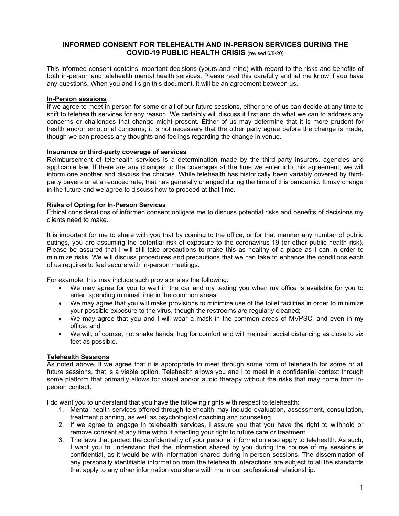# **INFORMED CONSENT FOR TELEHEALTH AND IN-PERSON SERVICES DURING THE COVID-19 PUBLIC HEALTH CRISIS** (revised 6/8/20)

This informed consent contains important decisions (yours and mine) with regard to the risks and benefits of both in-person and telehealth mental health services. Please read this carefully and let me know if you have any questions. When you and I sign this document, it will be an agreement between us.

#### **In-Person sessions**

If we agree to meet in person for some or all of our future sessions, either one of us can decide at any time to shift to telehealth services for any reason. We certainly will discuss it first and do what we can to address any concerns or challenges that change might present. Either of us may determine that it is more prudent for health and/or emotional concerns; it is not necessary that the other party agree before the change is made, though we can process any thoughts and feelings regarding the change in venue.

### **Insurance or third-party coverage of services**

Reimbursement of telehealth services is a determination made by the third-party insurers, agencies and applicable law. If there are any changes to the coverages at the time we enter into this agreement, we will inform one another and discuss the choices. While telehealth has historically been variably covered by thirdparty payers or at a reduced rate, that has generally changed during the time of this pandemic. It may change in the future and we agree to discuss how to proceed at that time.

### **Risks of Opting for In-Person Services**

Ethical considerations of informed consent obligate me to discuss potential risks and benefits of decisions my clients need to make.

It is important for me to share with you that by coming to the office, or for that manner any number of public outings, you are assuming the potential risk of exposure to the coronavirus-19 (or other public health risk). Please be assured that I will still take precautions to make this as healthy of a place as I can in order to minimize risks. We will discuss procedures and precautions that we can take to enhance the conditions each of us requires to feel secure with in-person meetings.

For example, this may include such provisions as the following:

- We may agree for you to wait in the car and my texting you when my office is available for you to enter, spending minimal time in the common areas;
- We may agree that you will make provisions to minimize use of the toilet facilities in order to minimize your possible exposure to the virus, though the restrooms are regularly cleaned;
- We may agree that you and I will wear a mask in the common areas of MVPSC, and even in my office: and
- We will, of course, not shake hands, hug for comfort and will maintain social distancing as close to six feet as possible.

## **Telehealth Sessions**

As noted above, if we agree that it is appropriate to meet through some form of telehealth for some or all future sessions, that is a viable option. Telehealth allows you and I to meet in a confidential context through some platform that primarily allows for visual and/or audio therapy without the risks that may come from inperson contact.

I do want you to understand that you have the following rights with respect to telehealth:

- 1. Mental health services offered through telehealth may include evaluation, assessment, consultation, treatment planning, as well as psychological coaching and counseling.
- 2. If we agree to engage in telehealth services, I assure you that you have the right to withhold or remove consent at any time without affecting your right to future care or treatment.
- 3. The laws that protect the confidentiality of your personal information also apply to telehealth. As such, I want you to understand that the information shared by you during the course of my sessions is confidential, as it would be with information shared during in-person sessions. The dissemination of any personally identifiable information from the telehealth interactions are subject to all the standards that apply to any other information you share with me in our professional relationship.